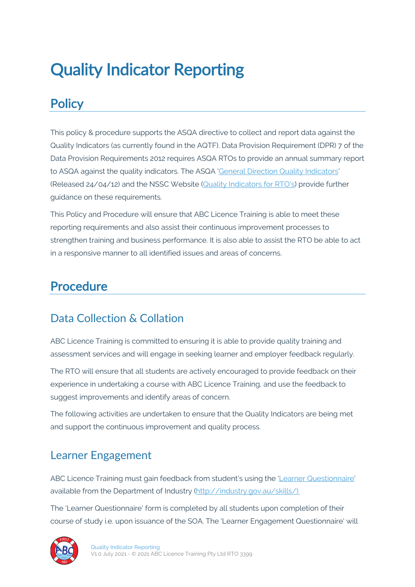# Quality Indicator Reporting

# **Policy**

This policy & procedure supports the ASQA directive to collect and report data against the Quality Indicators (as currently found in the AQTF). Data Provision Requirement (DPR) 7 of the Data Provision Requirements 2012 requires ASQA RTOs to provide an annual summary report to ASQA against the quality indicators. The ASQA 'General Direction Quality Indicators' (Released 24/04/12) and the NSSC Website (Quality Indicators for RTO's) provide further guidance on these requirements.

This Policy and Procedure will ensure that ABC Licence Training is able to meet these reporting requirements and also assist their continuous improvement processes to strengthen training and business performance. It is also able to assist the RTO be able to act in a responsive manner to all identified issues and areas of concerns.

### Procedure

#### Data Collection & Collation

ABC Licence Training is committed to ensuring it is able to provide quality training and assessment services and will engage in seeking learner and employer feedback regularly.

The RTO will ensure that all students are actively encouraged to provide feedback on their experience in undertaking a course with ABC Licence Training, and use the feedback to suggest improvements and identify areas of concern.

The following activities are undertaken to ensure that the Quality Indicators are being met and support the continuous improvement and quality process.

#### Learner Engagement

ABC Licence Training must gain feedback from student's using the 'Learner Questionnaire' available from the Department of Industry (http://industry.gov.au/skills/).

The 'Learner Questionnaire' form is completed by all students upon completion of their course of study i.e. upon issuance of the SOA. The 'Learner Engagement Questionnaire' will

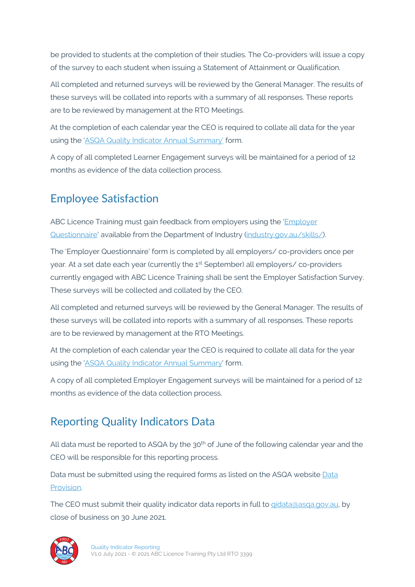be provided to students at the completion of their studies. The Co-providers will issue a copy of the survey to each student when issuing a Statement of Attainment or Qualification.

All completed and returned surveys will be reviewed by the General Manager. The results of these surveys will be collated into reports with a summary of all responses. These reports are to be reviewed by management at the RTO Meetings.

At the completion of each calendar year the CEO is required to collate all data for the year using the 'ASQA Quality Indicator Annual Summary' form.

A copy of all completed Learner Engagement surveys will be maintained for a period of 12 months as evidence of the data collection process.

# Employee Satisfaction

ABC Licence Training must gain feedback from employers using the 'Employer Questionnaire' available from the Department of Industry (industry.gov.au/skills/).

The 'Employer Questionnaire' form is completed by all employers/ co-providers once per year. At a set date each year (currently the 1st September) all employers/ co-providers currently engaged with ABC Licence Training shall be sent the Employer Satisfaction Survey. These surveys will be collected and collated by the CEO.

All completed and returned surveys will be reviewed by the General Manager. The results of these surveys will be collated into reports with a summary of all responses. These reports are to be reviewed by management at the RTO Meetings.

At the completion of each calendar year the CEO is required to collate all data for the year using the 'ASQA Quality Indicator Annual Summary' form.

A copy of all completed Employer Engagement surveys will be maintained for a period of 12 months as evidence of the data collection process.

# Reporting Quality Indicators Data

All data must be reported to ASQA by the 30<sup>th</sup> of June of the following calendar year and the CEO will be responsible for this reporting process.

Data must be submitted using the required forms as listed on the ASQA website Data Provision.

The CEO must submit their quality indicator data reports in full to gidata@asqa.gov.au, by close of business on 30 June 2021.